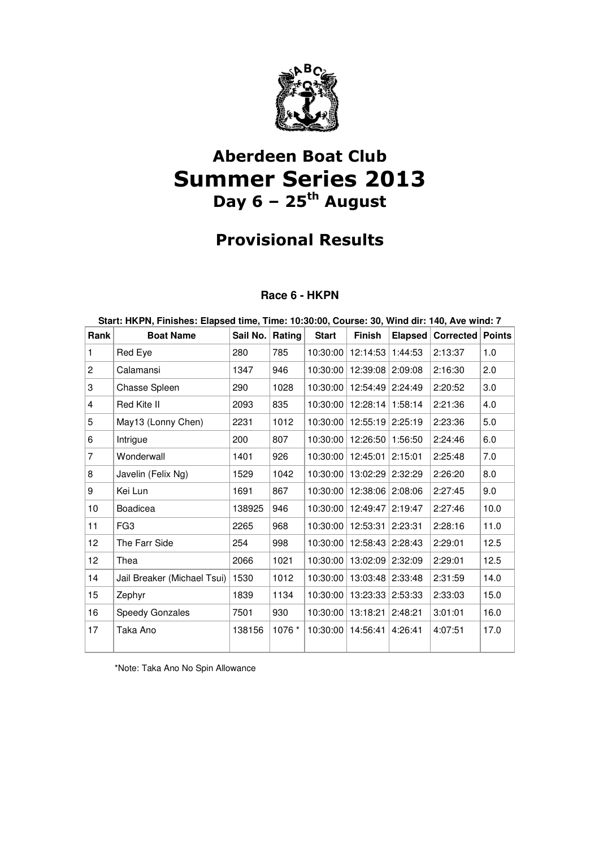

# Aberdeen Boat Club Summer Series 2013 Day  $6 - 25$ <sup>th</sup> August

## Provisional Results

### **Race 6 - HKPN**

| Start: HKPN, Finishes: Elapsed time, Time: 10:30:00, Course: 30, Wind dir: 140, Ave wind: 7 |                             |          |        |              |                    |         |           |               |  |
|---------------------------------------------------------------------------------------------|-----------------------------|----------|--------|--------------|--------------------|---------|-----------|---------------|--|
| Rank                                                                                        | <b>Boat Name</b>            | Sail No. | Rating | <b>Start</b> | <b>Finish</b>      | Elapsed | Corrected | <b>Points</b> |  |
| 1                                                                                           | Red Eye                     | 280      | 785    | 10:30:00     | 12:14:53           | 1:44:53 | 2:13:37   | 1.0           |  |
| $\mathbf{2}$                                                                                | Calamansi                   | 1347     | 946    | 10:30:00     | 12:39:08 2:09:08   |         | 2:16:30   | 2.0           |  |
| 3                                                                                           | Chasse Spleen               | 290      | 1028   | 10:30:00     | 12:54:49 2:24:49   |         | 2:20:52   | 3.0           |  |
| 4                                                                                           | Red Kite II                 | 2093     | 835    | 10:30:00     | 12:28:14 1:58:14   |         | 2:21:36   | 4.0           |  |
| 5                                                                                           | May13 (Lonny Chen)          | 2231     | 1012   | 10:30:00     | 12:55:19 2:25:19   |         | 2:23:36   | 5.0           |  |
| 6                                                                                           | Intrigue                    | 200      | 807    | 10:30:00     | 12:26:50           | 1:56:50 | 2:24:46   | 6.0           |  |
| $\overline{7}$                                                                              | Wonderwall                  | 1401     | 926    | 10:30:00     | 12:45:01 2:15:01   |         | 2:25:48   | 7.0           |  |
| 8                                                                                           | Javelin (Felix Ng)          | 1529     | 1042   | 10:30:00     | 13:02:29           | 2:32:29 | 2:26:20   | 8.0           |  |
| 9                                                                                           | Kei Lun                     | 1691     | 867    | 10:30:00     | 12:38:06   2:08:06 |         | 2:27:45   | 9.0           |  |
| 10                                                                                          | <b>Boadicea</b>             | 138925   | 946    | 10:30:00     | 12:49:47           | 2:19:47 | 2:27:46   | 10.0          |  |
| 11                                                                                          | FG <sub>3</sub>             | 2265     | 968    | 10:30:00     | 12:53:31 2:23:31   |         | 2:28:16   | 11.0          |  |
| 12                                                                                          | The Farr Side               | 254      | 998    | 10:30:00     | 12:58:43 2:28:43   |         | 2:29:01   | 12.5          |  |
| 12                                                                                          | Thea                        | 2066     | 1021   | 10:30:00     | 13:02:09           | 2:32:09 | 2:29:01   | 12.5          |  |
| 14                                                                                          | Jail Breaker (Michael Tsui) | 1530     | 1012   | 10:30:00     | 13:03:48 2:33:48   |         | 2:31:59   | 14.0          |  |
| 15                                                                                          | Zephyr                      | 1839     | 1134   | 10:30:00     | 13:23:33 2:53:33   |         | 2:33:03   | 15.0          |  |
| 16                                                                                          | Speedy Gonzales             | 7501     | 930    | 10:30:00     | 13:18:21 2:48:21   |         | 3:01:01   | 16.0          |  |
| 17                                                                                          | Taka Ano                    | 138156   | 1076 * | 10:30:00     | 14:56:41           | 4:26:41 | 4:07:51   | 17.0          |  |

\*Note: Taka Ano No Spin Allowance